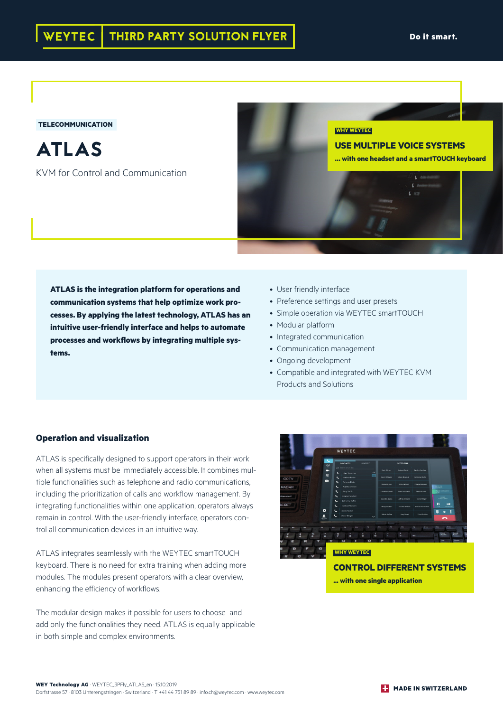#### **TELECOMMUNICATION**

ATLAS

KVM for Control and Communication

**USE MULTIPLE VOICE SYSTEMS … with one headset and a smartTOUCH keyboard**

# **ATLAS is the integration platform for operations and communication systems that help optimize work processes. By applying the latest technology, ATLAS has an intuitive user-friendly interface and helps to automate processes and workflows by integrating multiple systems.**

- User friendly interface
- Preference settings and user presets
- Simple operation via WEYTEC smartTOUCH

**WHY WEYTEC**

- Modular platform
- Integrated communication
- Communication management
- Ongoing development
- Compatible and integrated with WEYTEC KVM Products and Solutions

#### **Operation and visualization**

ATLAS is specifically designed to support operators in their work when all systems must be immediately accessible. It combines multiple functionalities such as telephone and radio communications, including the prioritization of calls and workflow management. By integrating functionalities within one application, operators always remain in control. With the user-friendly interface, operators control all communication devices in an intuitive way.

ATLAS integrates seamlessly with the WEYTEC smartTOUCH keyboard. There is no need for extra training when adding more modules. The modules present operators with a clear overview, enhancing the efficiency of workflows.

The modular design makes it possible for users to choose and add only the functionalities they need. ATLAS is equally applicable in both simple and complex environments.



**... with one single application**